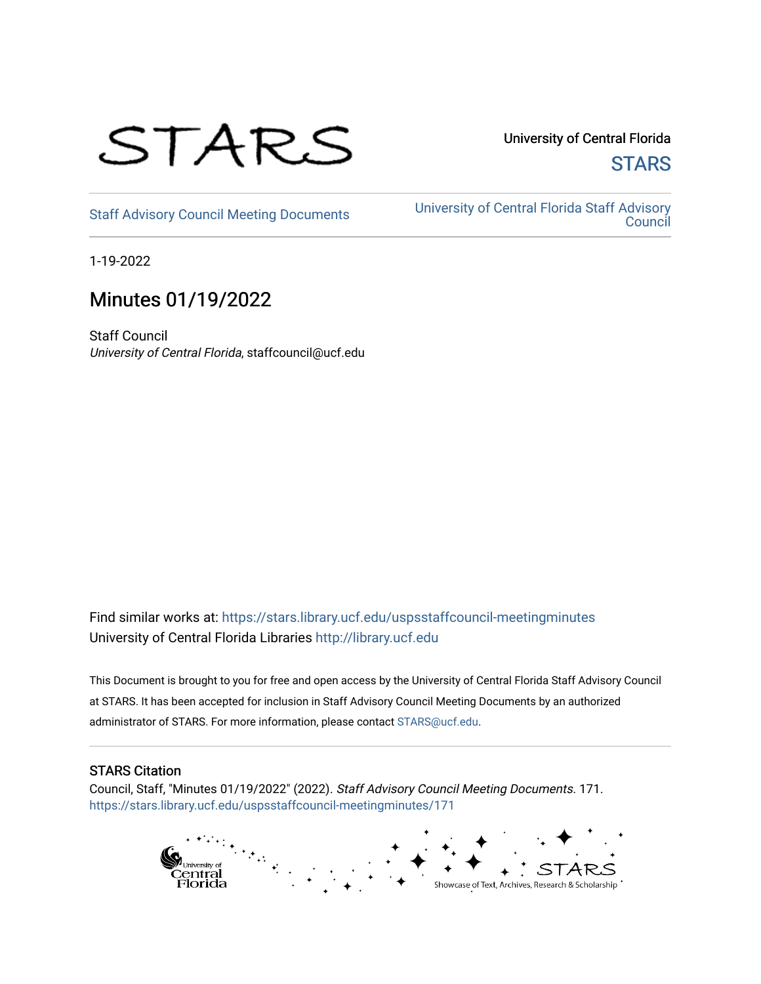

University of Central Florida **STARS** 

[Staff Advisory Council Meeting Documents](https://stars.library.ucf.edu/uspsstaffcouncil-meetingminutes) [University of Central Florida Staff Advisory](https://stars.library.ucf.edu/uspsstaffcouncil)  **Council** 

1-19-2022

# Minutes 01/19/2022

Staff Council University of Central Florida, staffcouncil@ucf.edu

Find similar works at: <https://stars.library.ucf.edu/uspsstaffcouncil-meetingminutes> University of Central Florida Libraries [http://library.ucf.edu](http://library.ucf.edu/) 

This Document is brought to you for free and open access by the University of Central Florida Staff Advisory Council at STARS. It has been accepted for inclusion in Staff Advisory Council Meeting Documents by an authorized administrator of STARS. For more information, please contact [STARS@ucf.edu.](mailto:STARS@ucf.edu)

## STARS Citation

Council, Staff, "Minutes 01/19/2022" (2022). Staff Advisory Council Meeting Documents. 171. [https://stars.library.ucf.edu/uspsstaffcouncil-meetingminutes/171](https://stars.library.ucf.edu/uspsstaffcouncil-meetingminutes/171?utm_source=stars.library.ucf.edu%2Fuspsstaffcouncil-meetingminutes%2F171&utm_medium=PDF&utm_campaign=PDFCoverPages)

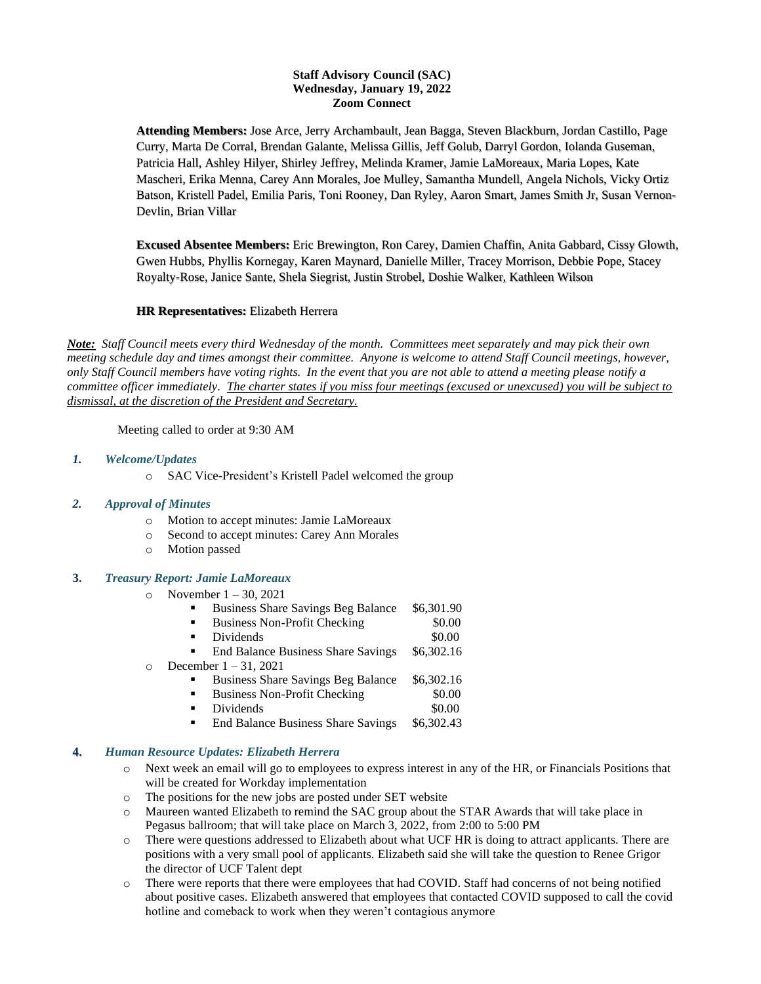### **Staff Advisory Council (SAC) Wednesday, January 19, 2022 Zoom Connect**

**Attending Members:** Jose Arce, Jerry Archambault, Jean Bagga, Steven Blackburn, Jordan Castillo, Page Curry, Marta De Corral, Brendan Galante, Melissa Gillis, Jeff Golub, Darryl Gordon, Iolanda Guseman, Patricia Hall, Ashley Hilyer, Shirley Jeffrey, Melinda Kramer, Jamie LaMoreaux, Maria Lopes, Kate Mascheri, Erika Menna, Carey Ann Morales, Joe Mulley, Samantha Mundell, Angela Nichols, Vicky Ortiz Batson, Kristell Padel, Emilia Paris, Toni Rooney, Dan Ryley, Aaron Smart, James Smith Jr, Susan Vernon-Devlin, Brian Villar

**Excused Absentee Members:** Eric Brewington, Ron Carey, Damien Chaffin, Anita Gabbard, Cissy Glowth, Gwen Hubbs, Phyllis Kornegay, Karen Maynard, Danielle Miller, Tracey Morrison, Debbie Pope, Stacey Royalty-Rose, Janice Sante, Shela Siegrist, Justin Strobel, Doshie Walker, Kathleen Wilson

### **HR Representatives:** Elizabeth Herrera

*Note: Staff Council meets every third Wednesday of the month. Committees meet separately and may pick their own meeting schedule day and times amongst their committee. Anyone is welcome to attend Staff Council meetings, however, only Staff Council members have voting rights. In the event that you are not able to attend a meeting please notify a committee officer immediately. The charter states if you miss four meetings (excused or unexcused) you will be subject to dismissal, at the discretion of the President and Secretary.*

Meeting called to order at 9:30 AM

- *1. Welcome/Updates*
	- o SAC Vice-President's Kristell Padel welcomed the group

#### *2. Approval of Minutes*

- o Motion to accept minutes: Jamie LaMoreaux
- o Second to accept minutes: Carey Ann Morales
- o Motion passed

### **3.** *Treasury Report: Jamie LaMoreaux*

- o November  $1 30, 2021$ 
	- Business Share Savings Beg Balance \$6,301.90
	- **Business Non-Profit Checking**  $$0.00$
	- Dividends \$0.00
	- End Balance Business Share Savings \$6,302.16
- $\circ$  December 1 31, 2021
	- Business Share Savings Beg Balance \$6,302.16
	- Business Non-Profit Checking \$0.00
	- Dividends \$0.00
	- End Balance Business Share Savings \$6,302.43

# **4.** *Human Resource Updates: Elizabeth Herrera*

- o Next week an email will go to employees to express interest in any of the HR, or Financials Positions that will be created for Workday implementation
- o The positions for the new jobs are posted under SET website
- o Maureen wanted Elizabeth to remind the SAC group about the STAR Awards that will take place in Pegasus ballroom; that will take place on March 3, 2022, from 2:00 to 5:00 PM
- o There were questions addressed to Elizabeth about what UCF HR is doing to attract applicants. There are positions with a very small pool of applicants. Elizabeth said she will take the question to Renee Grigor the director of UCF Talent dept
- o There were reports that there were employees that had COVID. Staff had concerns of not being notified about positive cases. Elizabeth answered that employees that contacted COVID supposed to call the covid hotline and comeback to work when they weren't contagious anymore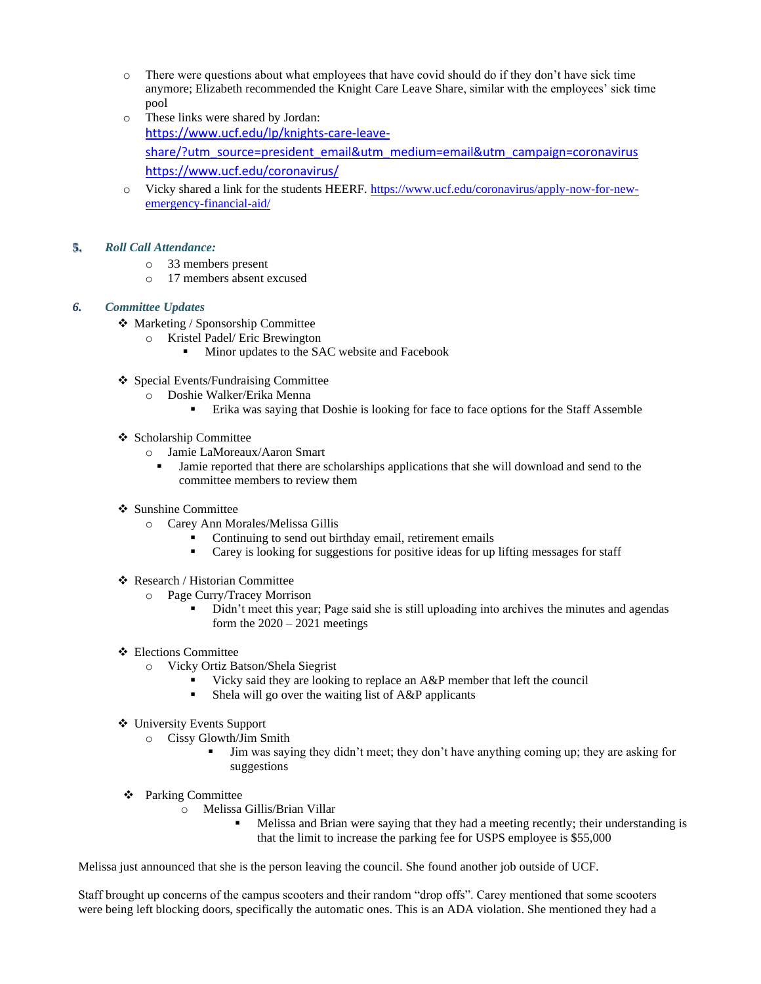- o There were questions about what employees that have covid should do if they don't have sick time anymore; Elizabeth recommended the Knight Care Leave Share, similar with the employees' sick time pool
- o These links were shared by Jordan: [https://www.ucf.edu/lp/knights-care-leave](https://www.ucf.edu/lp/knights-care-leave-share/?utm_source=president_email&utm_medium=email&utm_campaign=coronavirus)[share/?utm\\_source=president\\_email&utm\\_medium=email&utm\\_campaign=coronavirus](https://www.ucf.edu/lp/knights-care-leave-share/?utm_source=president_email&utm_medium=email&utm_campaign=coronavirus) <https://www.ucf.edu/coronavirus/>
- o Vicky shared a link for the students HEERF. [https://www.ucf.edu/coronavirus/apply-now-for-new](https://nam02.safelinks.protection.outlook.com/?url=https%3A%2F%2Fwww.ucf.edu%2Fcoronavirus%2Fapply-now-for-new-emergency-financial-aid%2F&data=04%7C01%7CEmilia.Paris%40ucf.edu%7C598568e7000f4216e17708d9db614281%7Cbb932f15ef3842ba91fcf3c59d5dd1f1%7C0%7C0%7C637782033029535445%7CUnknown%7CTWFpbGZsb3d8eyJWIjoiMC4wLjAwMDAiLCJQIjoiV2luMzIiLCJBTiI6Ik1haWwiLCJXVCI6Mn0%3D%7C3000&sdata=WRv3DiQ7uPLYKRF7k%2FbLjGuarhCBUNfmfNB2iYcrwkE%3D&reserved=0)[emergency-financial-aid/](https://nam02.safelinks.protection.outlook.com/?url=https%3A%2F%2Fwww.ucf.edu%2Fcoronavirus%2Fapply-now-for-new-emergency-financial-aid%2F&data=04%7C01%7CEmilia.Paris%40ucf.edu%7C598568e7000f4216e17708d9db614281%7Cbb932f15ef3842ba91fcf3c59d5dd1f1%7C0%7C0%7C637782033029535445%7CUnknown%7CTWFpbGZsb3d8eyJWIjoiMC4wLjAwMDAiLCJQIjoiV2luMzIiLCJBTiI6Ik1haWwiLCJXVCI6Mn0%3D%7C3000&sdata=WRv3DiQ7uPLYKRF7k%2FbLjGuarhCBUNfmfNB2iYcrwkE%3D&reserved=0)

### **5.** *Roll Call Attendance:*

- o 33 members present
- o 17 members absent excused

### *6. Committee Updates*

- ❖ Marketing / Sponsorship Committee
	- o Kristel Padel/ Eric Brewington
		- Minor updates to the SAC website and Facebook
- ❖ Special Events/Fundraising Committee
	- o Doshie Walker/Erika Menna
		- Erika was saying that Doshie is looking for face to face options for the Staff Assemble

### ❖ Scholarship Committee

- o Jamie LaMoreaux/Aaron Smart
	- Jamie reported that there are scholarships applications that she will download and send to the committee members to review them
- ❖ Sunshine Committee
	- o Carey Ann Morales/Melissa Gillis
		- Continuing to send out birthday email, retirement emails
		- Carey is looking for suggestions for positive ideas for up lifting messages for staff
- ❖ Research / Historian Committee
	- o Page Curry/Tracey Morrison
		- Didn't meet this year; Page said she is still uploading into archives the minutes and agendas form the  $2020 - 2021$  meetings
- ❖ Elections Committee
	- o Vicky Ortiz Batson/Shela Siegrist
		- Vicky said they are looking to replace an A&P member that left the council
		- **•** Shela will go over the waiting list of  $A\&P$  applicants
- ❖ University Events Support
	- o Cissy Glowth/Jim Smith
		- Jim was saying they didn't meet; they don't have anything coming up; they are asking for suggestions
- ❖ Parking Committee
	- o Melissa Gillis/Brian Villar
		- Melissa and Brian were saying that they had a meeting recently; their understanding is that the limit to increase the parking fee for USPS employee is \$55,000

Melissa just announced that she is the person leaving the council. She found another job outside of UCF.

Staff brought up concerns of the campus scooters and their random "drop offs". Carey mentioned that some scooters were being left blocking doors, specifically the automatic ones. This is an ADA violation. She mentioned they had a